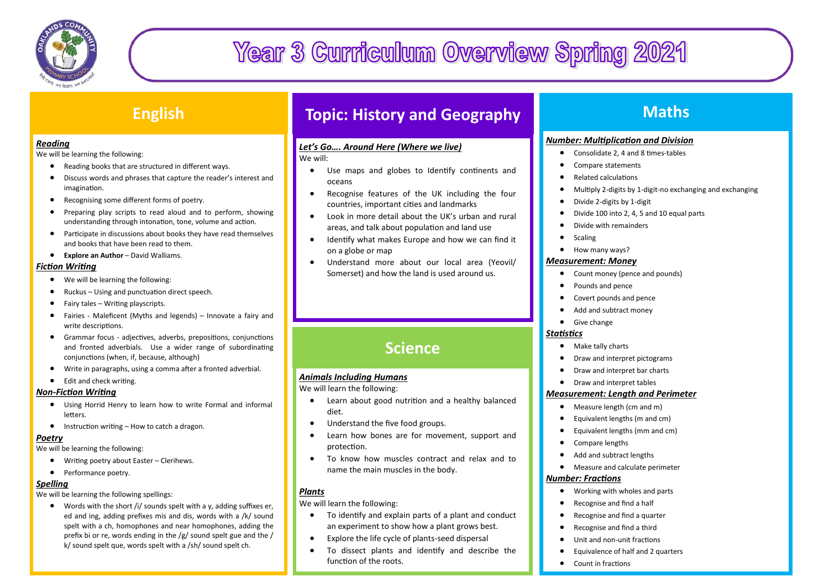

# **Year 3 Curriculum Overview Spring 2021**

## **English**

#### *Reading*

We will be learning the following:

- Reading books that are structured in different ways.
- Discuss words and phrases that capture the reader's interest and imagination.
- Recognising some different forms of poetry.
- Preparing play scripts to read aloud and to perform, showing understanding through intonation, tone, volume and action.
- Participate in discussions about books they have read themselves and books that have been read to them.
- **Explore an Author** David Walliams.

#### *Fiction Writing*

- We will be learning the following:
- Ruckus Using and punctuation direct speech.
- Fairy tales Writing playscripts.
- Fairies Maleficent (Myths and legends) Innovate a fairy and write descriptions.
- Grammar focus adjectives, adverbs, prepositions, conjunctions and fronted adverbials. Use a wider range of subordinating conjunctions (when, if, because, although)
- Write in paragraphs, using a comma after a fronted adverbial.
- Edit and check writing.

#### *Non-Fiction Writing*

- Using Horrid Henry to learn how to write Formal and informal letters.
- $\bullet$  Instruction writing How to catch a dragon.

#### *Poetry*

We will be learning the following:

- Writing poetry about Easter Clerihews.
- Performance poetry.

#### *Spelling*

We will be learning the following spellings:

 Words with the short /i/ sounds spelt with a y, adding suffixes er, ed and ing, adding prefixes mis and dis, words with a /k/ sound spelt with a ch, homophones and near homophones, adding the prefix bi or re, words ending in the /g/ sound spelt gue and the / k/ sound spelt que, words spelt with a /sh/ sound spelt ch.

## **Topic: History and Geography**

## *Let's Go…. Around Here (Where we live)*

We will:

- Use maps and globes to Identify continents and oceans
- Recognise features of the UK including the four countries, important cities and landmarks
- Look in more detail about the UK's urban and rural areas, and talk about population and land use
- Identify what makes Europe and how we can find it on a globe or map
- Understand more about our local area (Yeovil/ Somerset) and how the land is used around us.

## **Science**

## *Animals Including Humans*

We will learn the following:

- Learn about good nutrition and a healthy balanced diet.
- Understand the five food groups.
- Learn how bones are for movement, support and protection.
- To know how muscles contract and relax and to name the main muscles in the body.

## *Plants*

We will learn the following:

- To identify and explain parts of a plant and conduct an experiment to show how a plant grows best.
- Explore the life cycle of plants-seed dispersal
- To dissect plants and identify and describe the function of the roots.

## **Maths**

## *Number: Multiplication and Division*

- Consolidate 2, 4 and 8 times-tables
- Compare statements
- Related calculations
- Multiply 2-digits by 1-digit-no exchanging and exchanging
- Divide 2-digits by 1-digit
- Divide 100 into 2, 4, 5 and 10 equal parts
- Divide with remainders
- $\bullet$  Scaling
- How many ways?

#### *Measurement: Money*

- Count money (pence and pounds)
- Pounds and pence
- Covert pounds and pence
- Add and subtract money
- **•** Give change

## *Statistics*

- Make tally charts
- **•** Draw and interpret pictograms
- Draw and interpret bar charts
- **•** Draw and interpret tables

## *Measurement: Length and Perimeter*

- Measure length (cm and m)
- Equivalent lengths (m and cm)
- Equivalent lengths (mm and cm)
- Compare lengths
- Add and subtract lengths
- Measure and calculate perimeter

#### *Number: Fractions*

- Working with wholes and parts
- Recognise and find a half
- Recognise and find a quarter
- Recognise and find a third
- Unit and non-unit fractions
- Equivalence of half and 2 quarters
- Count in fractions